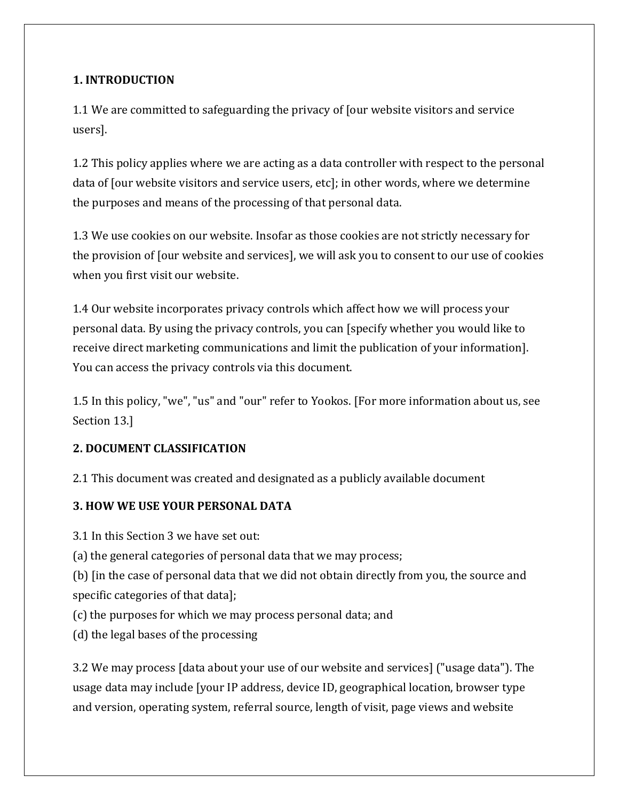## **1. INTRODUCTION**

1.1 We are committed to safeguarding the privacy of [our website visitors and service users].

1.2 This policy applies where we are acting as a data controller with respect to the personal data of [our website visitors and service users, etc]; in other words, where we determine the purposes and means of the processing of that personal data.

1.3 We use cookies on our website. Insofar as those cookies are not strictly necessary for the provision of [our website and services], we will ask you to consent to our use of cookies when you first visit our website.

1.4 Our website incorporates privacy controls which affect how we will process your personal data. By using the privacy controls, you can [specify whether you would like to receive direct marketing communications and limit the publication of your information]. You can access the privacy controls via this document.

1.5 In this policy, "we", "us" and "our" refer to Yookos. [For more information about us, see Section 13.]

#### **2. DOCUMENT CLASSIFICATION**

2.1 This document was created and designated as a publicly available document

#### **3. HOW WE USE YOUR PERSONAL DATA**

3.1 In this Section 3 we have set out:

(a) the general categories of personal data that we may process;

(b) [in the case of personal data that we did not obtain directly from you, the source and specific categories of that data];

- (c) the purposes for which we may process personal data; and
- (d) the legal bases of the processing

3.2 We may process [data about your use of our website and services] ("usage data"). The usage data may include [your IP address, device ID, geographical location, browser type and version, operating system, referral source, length of visit, page views and website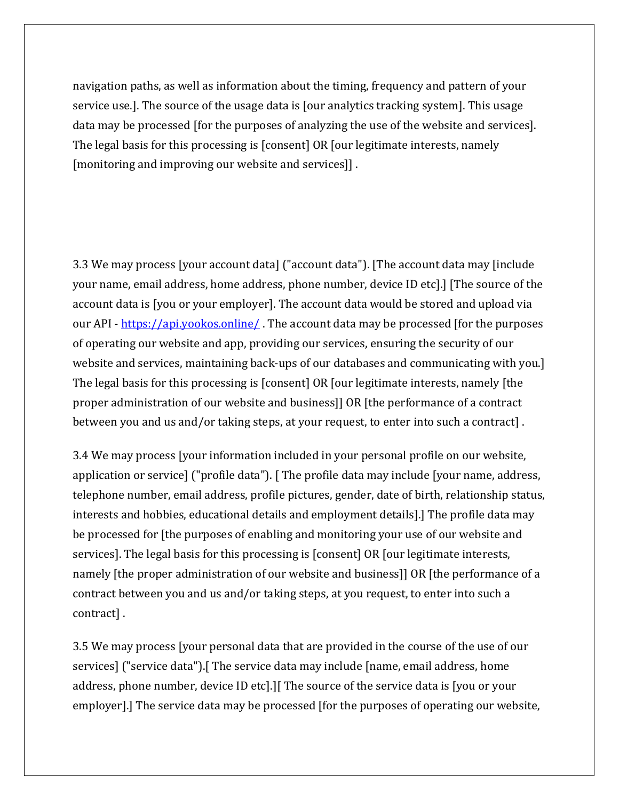navigation paths, as well as information about the timing, frequency and pattern of your service use.]. The source of the usage data is [our analytics tracking system]. This usage data may be processed [for the purposes of analyzing the use of the website and services]. The legal basis for this processing is [consent] OR [our legitimate interests, namely [monitoring and improving our website and services]] .

3.3 We may process [your account data] ("account data"). [The account data may [include your name, email address, home address, phone number, device ID etc].] [The source of the account data is [you or your employer]. The account data would be stored and upload via our API - <https://api.yookos.online/> . The account data may be processed [for the purposes of operating our website and app, providing our services, ensuring the security of our website and services, maintaining back-ups of our databases and communicating with you.] The legal basis for this processing is [consent] OR [our legitimate interests, namely [the proper administration of our website and business]] OR [the performance of a contract between you and us and/or taking steps, at your request, to enter into such a contract] .

3.4 We may process [your information included in your personal profile on our website, application or service] ("profile data"). [ The profile data may include [your name, address, telephone number, email address, profile pictures, gender, date of birth, relationship status, interests and hobbies, educational details and employment details].] The profile data may be processed for [the purposes of enabling and monitoring your use of our website and services]. The legal basis for this processing is [consent] OR [our legitimate interests, namely [the proper administration of our website and business]] OR [the performance of a contract between you and us and/or taking steps, at you request, to enter into such a contract] .

3.5 We may process [your personal data that are provided in the course of the use of our services] ("service data").[ The service data may include [name, email address, home address, phone number, device ID etc].][ The source of the service data is [you or your employer].] The service data may be processed [for the purposes of operating our website,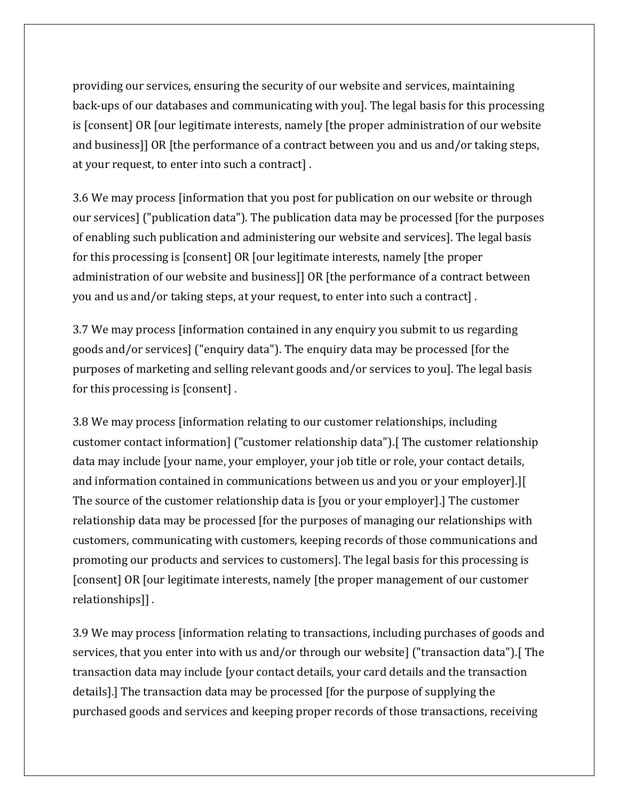providing our services, ensuring the security of our website and services, maintaining back-ups of our databases and communicating with you]. The legal basis for this processing is [consent] OR [our legitimate interests, namely [the proper administration of our website and business]] OR [the performance of a contract between you and us and/or taking steps, at your request, to enter into such a contract] .

3.6 We may process [information that you post for publication on our website or through our services] ("publication data"). The publication data may be processed [for the purposes of enabling such publication and administering our website and services]. The legal basis for this processing is [consent] OR [our legitimate interests, namely [the proper administration of our website and business]] OR [the performance of a contract between you and us and/or taking steps, at your request, to enter into such a contract] .

3.7 We may process [information contained in any enquiry you submit to us regarding goods and/or services] ("enquiry data"). The enquiry data may be processed [for the purposes of marketing and selling relevant goods and/or services to you]. The legal basis for this processing is [consent] .

3.8 We may process [information relating to our customer relationships, including customer contact information] ("customer relationship data").[ The customer relationship data may include [your name, your employer, your job title or role, your contact details, and information contained in communications between us and you or your employer].][ The source of the customer relationship data is [you or your employer].] The customer relationship data may be processed [for the purposes of managing our relationships with customers, communicating with customers, keeping records of those communications and promoting our products and services to customers]. The legal basis for this processing is [consent] OR [our legitimate interests, namely [the proper management of our customer relationships]] .

3.9 We may process [information relating to transactions, including purchases of goods and services, that you enter into with us and/or through our website] ("transaction data"). [The transaction data may include [your contact details, your card details and the transaction details].] The transaction data may be processed [for the purpose of supplying the purchased goods and services and keeping proper records of those transactions, receiving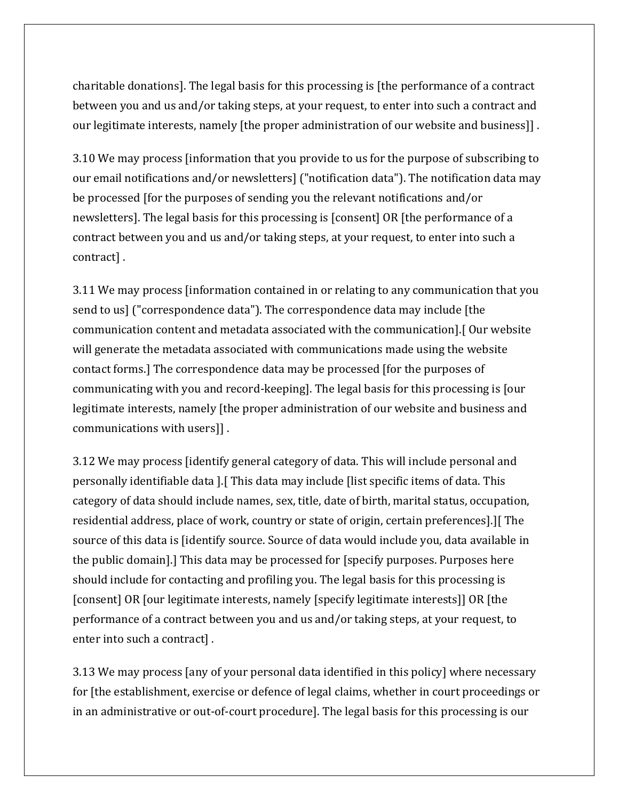charitable donations]. The legal basis for this processing is [the performance of a contract between you and us and/or taking steps, at your request, to enter into such a contract and our legitimate interests, namely [the proper administration of our website and business]] .

3.10 We may process [information that you provide to us for the purpose of subscribing to our email notifications and/or newsletters] ("notification data"). The notification data may be processed [for the purposes of sending you the relevant notifications and/or newsletters]. The legal basis for this processing is [consent] OR [the performance of a contract between you and us and/or taking steps, at your request, to enter into such a contract] .

3.11 We may process [information contained in or relating to any communication that you send to us] ("correspondence data"). The correspondence data may include [the communication content and metadata associated with the communication].[ Our website will generate the metadata associated with communications made using the website contact forms.] The correspondence data may be processed [for the purposes of communicating with you and record-keeping]. The legal basis for this processing is [our legitimate interests, namely [the proper administration of our website and business and communications with users]] .

3.12 We may process [identify general category of data. This will include personal and personally identifiable data ].[ This data may include [list specific items of data. This category of data should include names, sex, title, date of birth, marital status, occupation, residential address, place of work, country or state of origin, certain preferences].][ The source of this data is [identify source. Source of data would include you, data available in the public domain].] This data may be processed for [specify purposes. Purposes here should include for contacting and profiling you. The legal basis for this processing is [consent] OR [our legitimate interests, namely [specify legitimate interests]] OR [the performance of a contract between you and us and/or taking steps, at your request, to enter into such a contract] .

3.13 We may process [any of your personal data identified in this policy] where necessary for [the establishment, exercise or defence of legal claims, whether in court proceedings or in an administrative or out-of-court procedure]. The legal basis for this processing is our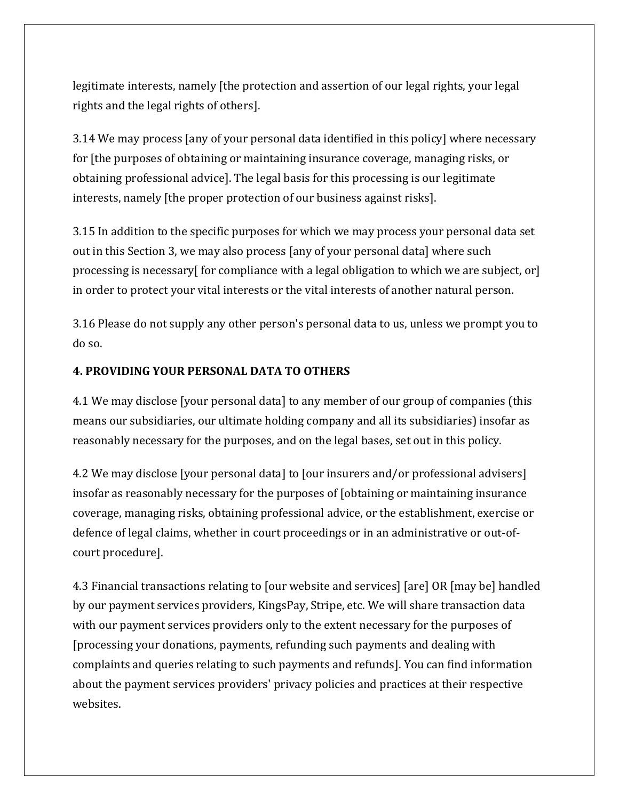legitimate interests, namely [the protection and assertion of our legal rights, your legal rights and the legal rights of others].

3.14 We may process [any of your personal data identified in this policy] where necessary for [the purposes of obtaining or maintaining insurance coverage, managing risks, or obtaining professional advice]. The legal basis for this processing is our legitimate interests, namely [the proper protection of our business against risks].

3.15 In addition to the specific purposes for which we may process your personal data set out in this Section 3, we may also process [any of your personal data] where such processing is necessary[ for compliance with a legal obligation to which we are subject, or] in order to protect your vital interests or the vital interests of another natural person.

3.16 Please do not supply any other person's personal data to us, unless we prompt you to do so.

#### **4. PROVIDING YOUR PERSONAL DATA TO OTHERS**

4.1 We may disclose [your personal data] to any member of our group of companies (this means our subsidiaries, our ultimate holding company and all its subsidiaries) insofar as reasonably necessary for the purposes, and on the legal bases, set out in this policy.

4.2 We may disclose [your personal data] to [our insurers and/or professional advisers] insofar as reasonably necessary for the purposes of [obtaining or maintaining insurance coverage, managing risks, obtaining professional advice, or the establishment, exercise or defence of legal claims, whether in court proceedings or in an administrative or out-ofcourt procedure].

4.3 Financial transactions relating to [our website and services] [are] OR [may be] handled by our payment services providers, KingsPay, Stripe, etc. We will share transaction data with our payment services providers only to the extent necessary for the purposes of [processing your donations, payments, refunding such payments and dealing with complaints and queries relating to such payments and refunds]. You can find information about the payment services providers' privacy policies and practices at their respective websites.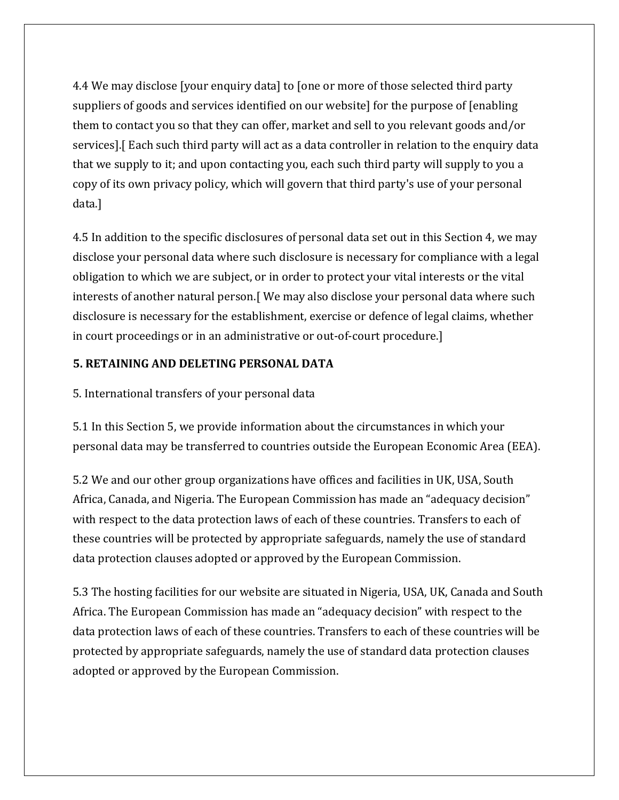4.4 We may disclose [your enquiry data] to [one or more of those selected third party suppliers of goods and services identified on our website] for the purpose of [enabling them to contact you so that they can offer, market and sell to you relevant goods and/or services].[ Each such third party will act as a data controller in relation to the enquiry data that we supply to it; and upon contacting you, each such third party will supply to you a copy of its own privacy policy, which will govern that third party's use of your personal data.]

4.5 In addition to the specific disclosures of personal data set out in this Section 4, we may disclose your personal data where such disclosure is necessary for compliance with a legal obligation to which we are subject, or in order to protect your vital interests or the vital interests of another natural person.[ We may also disclose your personal data where such disclosure is necessary for the establishment, exercise or defence of legal claims, whether in court proceedings or in an administrative or out-of-court procedure.]

## **5. RETAINING AND DELETING PERSONAL DATA**

5. International transfers of your personal data

5.1 In this Section 5, we provide information about the circumstances in which your personal data may be transferred to countries outside the European Economic Area (EEA).

5.2 We and our other group organizations have offices and facilities in UK, USA, South Africa, Canada, and Nigeria. The European Commission has made an "adequacy decision" with respect to the data protection laws of each of these countries. Transfers to each of these countries will be protected by appropriate safeguards, namely the use of standard data protection clauses adopted or approved by the European Commission.

5.3 The hosting facilities for our website are situated in Nigeria, USA, UK, Canada and South Africa. The European Commission has made an "adequacy decision" with respect to the data protection laws of each of these countries. Transfers to each of these countries will be protected by appropriate safeguards, namely the use of standard data protection clauses adopted or approved by the European Commission.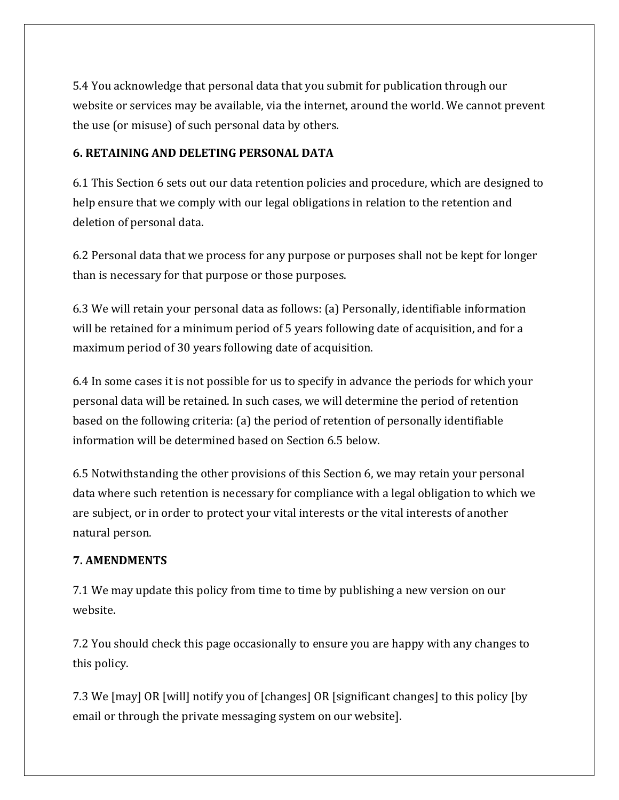5.4 You acknowledge that personal data that you submit for publication through our website or services may be available, via the internet, around the world. We cannot prevent the use (or misuse) of such personal data by others.

## **6. RETAINING AND DELETING PERSONAL DATA**

6.1 This Section 6 sets out our data retention policies and procedure, which are designed to help ensure that we comply with our legal obligations in relation to the retention and deletion of personal data.

6.2 Personal data that we process for any purpose or purposes shall not be kept for longer than is necessary for that purpose or those purposes.

6.3 We will retain your personal data as follows: (a) Personally, identifiable information will be retained for a minimum period of 5 years following date of acquisition, and for a maximum period of 30 years following date of acquisition.

6.4 In some cases it is not possible for us to specify in advance the periods for which your personal data will be retained. In such cases, we will determine the period of retention based on the following criteria: (a) the period of retention of personally identifiable information will be determined based on Section 6.5 below.

6.5 Notwithstanding the other provisions of this Section 6, we may retain your personal data where such retention is necessary for compliance with a legal obligation to which we are subject, or in order to protect your vital interests or the vital interests of another natural person.

#### **7. AMENDMENTS**

7.1 We may update this policy from time to time by publishing a new version on our website.

7.2 You should check this page occasionally to ensure you are happy with any changes to this policy.

7.3 We [may] OR [will] notify you of [changes] OR [significant changes] to this policy [by email or through the private messaging system on our website].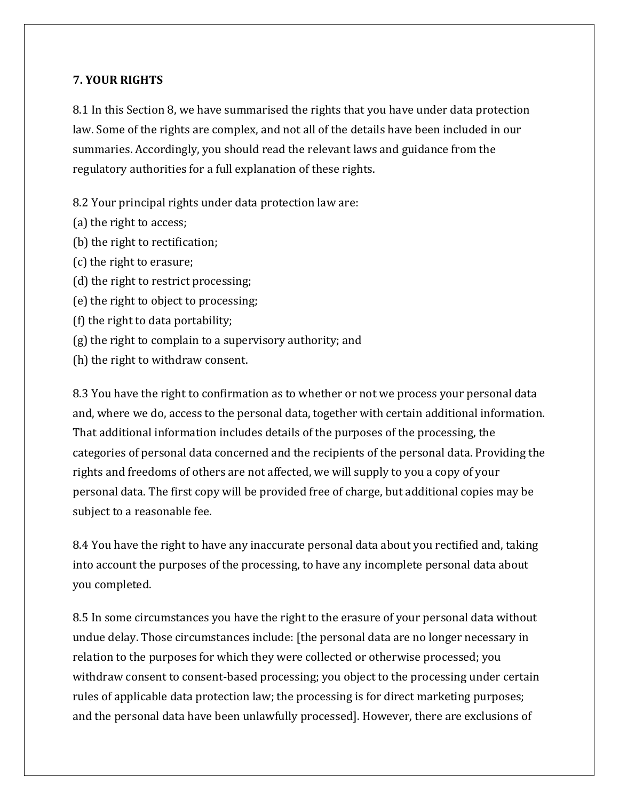#### **7. YOUR RIGHTS**

8.1 In this Section 8, we have summarised the rights that you have under data protection law. Some of the rights are complex, and not all of the details have been included in our summaries. Accordingly, you should read the relevant laws and guidance from the regulatory authorities for a full explanation of these rights.

8.2 Your principal rights under data protection law are:

- (a) the right to access;
- (b) the right to rectification;
- (c) the right to erasure;
- (d) the right to restrict processing;
- (e) the right to object to processing;
- (f) the right to data portability;
- (g) the right to complain to a supervisory authority; and
- (h) the right to withdraw consent.

8.3 You have the right to confirmation as to whether or not we process your personal data and, where we do, access to the personal data, together with certain additional information. That additional information includes details of the purposes of the processing, the categories of personal data concerned and the recipients of the personal data. Providing the rights and freedoms of others are not affected, we will supply to you a copy of your personal data. The first copy will be provided free of charge, but additional copies may be subject to a reasonable fee.

8.4 You have the right to have any inaccurate personal data about you rectified and, taking into account the purposes of the processing, to have any incomplete personal data about you completed.

8.5 In some circumstances you have the right to the erasure of your personal data without undue delay. Those circumstances include: [the personal data are no longer necessary in relation to the purposes for which they were collected or otherwise processed; you withdraw consent to consent-based processing; you object to the processing under certain rules of applicable data protection law; the processing is for direct marketing purposes; and the personal data have been unlawfully processed]. However, there are exclusions of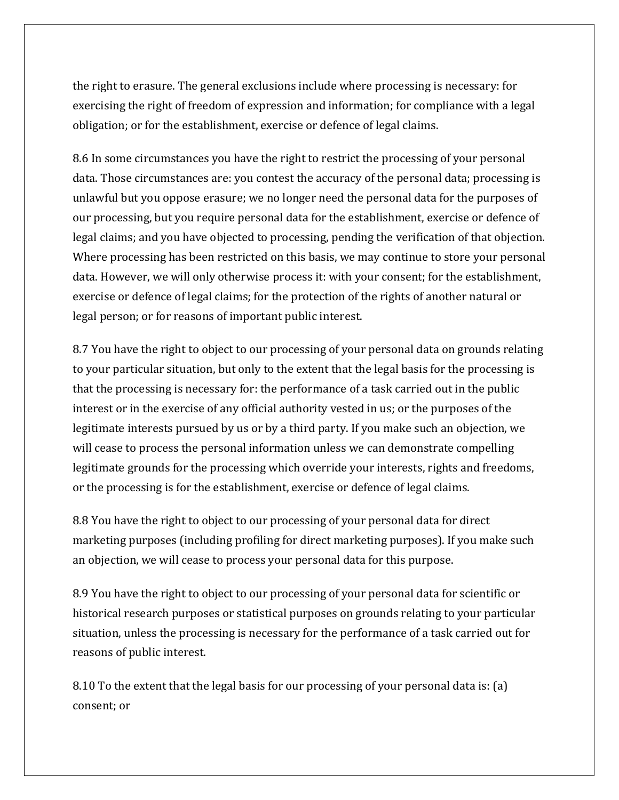the right to erasure. The general exclusions include where processing is necessary: for exercising the right of freedom of expression and information; for compliance with a legal obligation; or for the establishment, exercise or defence of legal claims.

8.6 In some circumstances you have the right to restrict the processing of your personal data. Those circumstances are: you contest the accuracy of the personal data; processing is unlawful but you oppose erasure; we no longer need the personal data for the purposes of our processing, but you require personal data for the establishment, exercise or defence of legal claims; and you have objected to processing, pending the verification of that objection. Where processing has been restricted on this basis, we may continue to store your personal data. However, we will only otherwise process it: with your consent; for the establishment, exercise or defence of legal claims; for the protection of the rights of another natural or legal person; or for reasons of important public interest.

8.7 You have the right to object to our processing of your personal data on grounds relating to your particular situation, but only to the extent that the legal basis for the processing is that the processing is necessary for: the performance of a task carried out in the public interest or in the exercise of any official authority vested in us; or the purposes of the legitimate interests pursued by us or by a third party. If you make such an objection, we will cease to process the personal information unless we can demonstrate compelling legitimate grounds for the processing which override your interests, rights and freedoms, or the processing is for the establishment, exercise or defence of legal claims.

8.8 You have the right to object to our processing of your personal data for direct marketing purposes (including profiling for direct marketing purposes). If you make such an objection, we will cease to process your personal data for this purpose.

8.9 You have the right to object to our processing of your personal data for scientific or historical research purposes or statistical purposes on grounds relating to your particular situation, unless the processing is necessary for the performance of a task carried out for reasons of public interest.

8.10 To the extent that the legal basis for our processing of your personal data is: (a) consent; or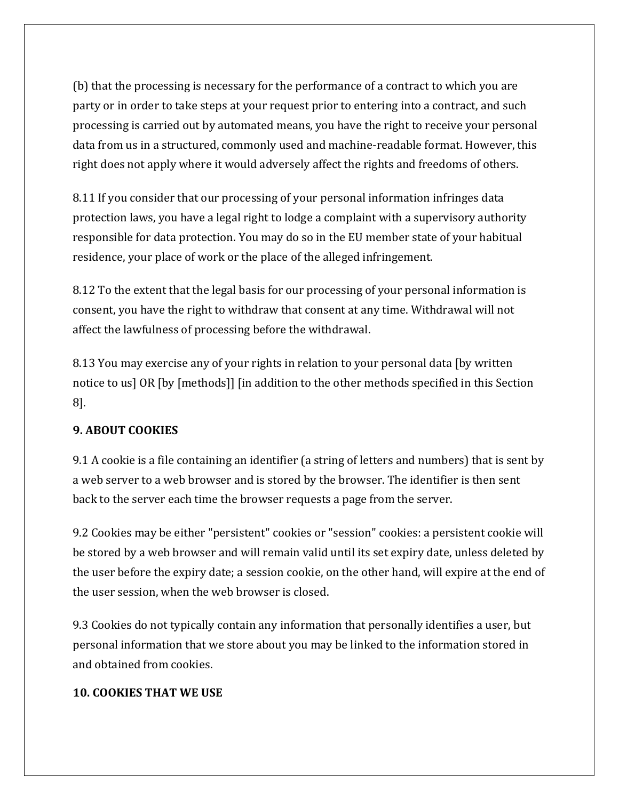(b) that the processing is necessary for the performance of a contract to which you are party or in order to take steps at your request prior to entering into a contract, and such processing is carried out by automated means, you have the right to receive your personal data from us in a structured, commonly used and machine-readable format. However, this right does not apply where it would adversely affect the rights and freedoms of others.

8.11 If you consider that our processing of your personal information infringes data protection laws, you have a legal right to lodge a complaint with a supervisory authority responsible for data protection. You may do so in the EU member state of your habitual residence, your place of work or the place of the alleged infringement.

8.12 To the extent that the legal basis for our processing of your personal information is consent, you have the right to withdraw that consent at any time. Withdrawal will not affect the lawfulness of processing before the withdrawal.

8.13 You may exercise any of your rights in relation to your personal data [by written notice to us] OR [by [methods]] [in addition to the other methods specified in this Section 8].

# **9. ABOUT COOKIES**

9.1 A cookie is a file containing an identifier (a string of letters and numbers) that is sent by a web server to a web browser and is stored by the browser. The identifier is then sent back to the server each time the browser requests a page from the server.

9.2 Cookies may be either "persistent" cookies or "session" cookies: a persistent cookie will be stored by a web browser and will remain valid until its set expiry date, unless deleted by the user before the expiry date; a session cookie, on the other hand, will expire at the end of the user session, when the web browser is closed.

9.3 Cookies do not typically contain any information that personally identifies a user, but personal information that we store about you may be linked to the information stored in and obtained from cookies.

#### **10. COOKIES THAT WE USE**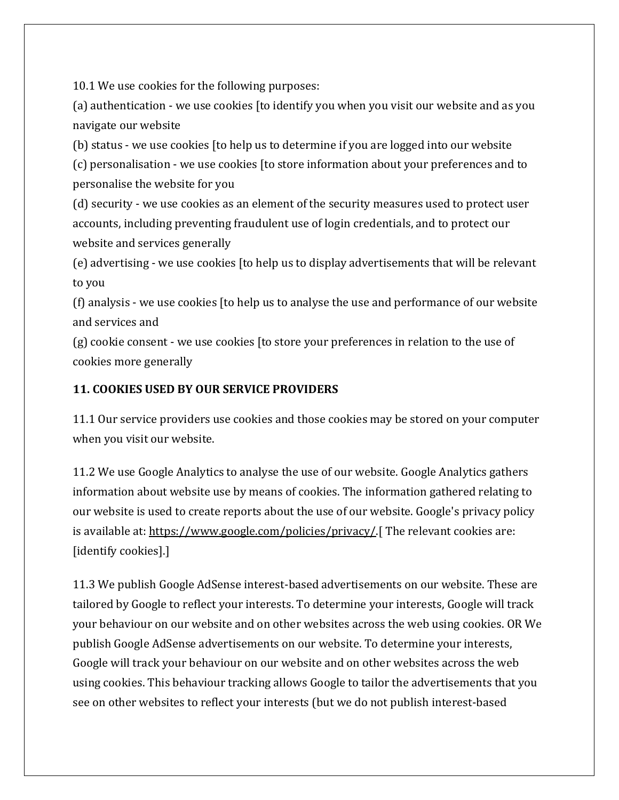10.1 We use cookies for the following purposes:

(a) authentication - we use cookies [to identify you when you visit our website and as you navigate our website

(b) status - we use cookies [to help us to determine if you are logged into our website (c) personalisation - we use cookies [to store information about your preferences and to personalise the website for you

(d) security - we use cookies as an element of the security measures used to protect user accounts, including preventing fraudulent use of login credentials, and to protect our website and services generally

(e) advertising - we use cookies [to help us to display advertisements that will be relevant to you

(f) analysis - we use cookies [to help us to analyse the use and performance of our website and services and

(g) cookie consent - we use cookies [to store your preferences in relation to the use of cookies more generally

# **11. COOKIES USED BY OUR SERVICE PROVIDERS**

11.1 Our service providers use cookies and those cookies may be stored on your computer when you visit our website.

11.2 We use Google Analytics to analyse the use of our website. Google Analytics gathers information about website use by means of cookies. The information gathered relating to our website is used to create reports about the use of our website. Google's privacy policy is available at: https://www.google.com/policies/privacy/ [ The relevant cookies are: [identify cookies].]

11.3 We publish Google AdSense interest-based advertisements on our website. These are tailored by Google to reflect your interests. To determine your interests, Google will track your behaviour on our website and on other websites across the web using cookies. OR We publish Google AdSense advertisements on our website. To determine your interests, Google will track your behaviour on our website and on other websites across the web using cookies. This behaviour tracking allows Google to tailor the advertisements that you see on other websites to reflect your interests (but we do not publish interest-based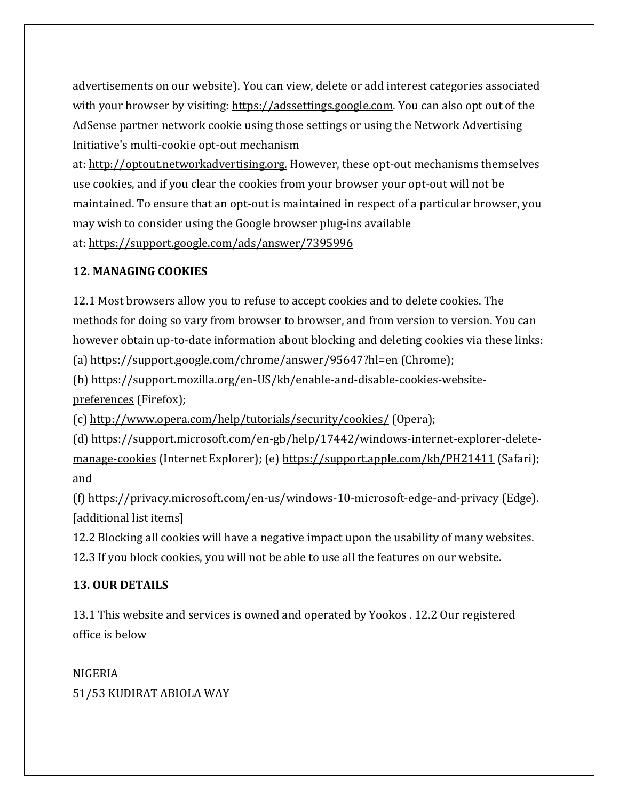advertisements on our website). You can view, delete or add interest categories associated with your browser by visiting: [https://adssettings.google.com.](https://support.google.com/ads/answer/2662922?hl=en) You can also opt out of the AdSense partner network cookie using those settings or using the Network Advertising Initiative's multi-cookie opt-out mechanism

at: [http://optout.networkadvertising.org.](http://optout.networkadvertising.org/) However, these opt-out mechanisms themselves use cookies, and if you clear the cookies from your browser your opt-out will not be maintained. To ensure that an opt-out is maintained in respect of a particular browser, you may wish to consider using the Google browser plug-ins available at: <https://support.google.com/ads/answer/7395996>

# **12. MANAGING COOKIES**

12.1 Most browsers allow you to refuse to accept cookies and to delete cookies. The methods for doing so vary from browser to browser, and from version to version. You can however obtain up-to-date information about blocking and deleting cookies via these links: (a) <https://support.google.com/chrome/answer/95647?hl=en> (Chrome);

(b) [https://support.mozilla.org/en-US/kb/enable-and-disable-cookies-website](https://support.mozilla.org/en-US/kb/enable-and-disable-cookies-website-preferences)[preferences](https://support.mozilla.org/en-US/kb/enable-and-disable-cookies-website-preferences) (Firefox);

(c) <http://www.opera.com/help/tutorials/security/cookies/> (Opera);

(d) [https://support.microsoft.com/en-gb/help/17442/windows-internet-explorer-delete](https://support.microsoft.com/en-gb/help/17442/windows-internet-explorer-delete-manage-cookies)[manage-cookies](https://support.microsoft.com/en-gb/help/17442/windows-internet-explorer-delete-manage-cookies) (Internet Explorer); (e) [https://support.apple.com/kb/PH21411](https://pastorchrisonline.org/privacy_policy.php) (Safari); and

(f) <https://privacy.microsoft.com/en-us/windows-10-microsoft-edge-and-privacy> (Edge). [additional list items]

12.2 Blocking all cookies will have a negative impact upon the usability of many websites. 12.3 If you block cookies, you will not be able to use all the features on our website.

# **13. OUR DETAILS**

13.1 This website and services is owned and operated by Yookos . 12.2 Our registered office is below

NIGERIA 51/53 KUDIRAT ABIOLA WAY